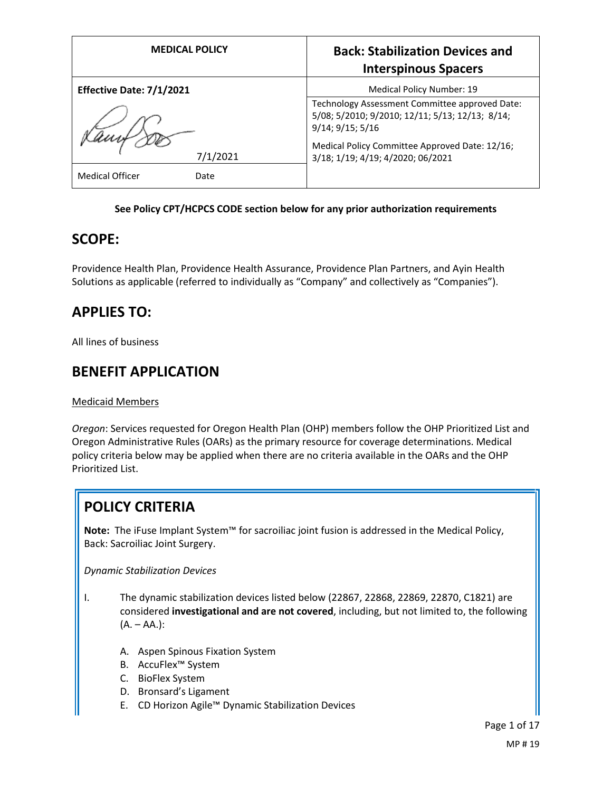| <b>MEDICAL POLICY</b>          | <b>Back: Stabilization Devices and</b><br><b>Interspinous Spacers</b>                                                 |
|--------------------------------|-----------------------------------------------------------------------------------------------------------------------|
| Effective Date: 7/1/2021       | Medical Policy Number: 19                                                                                             |
|                                | Technology Assessment Committee approved Date:<br>5/08; 5/2010; 9/2010; 12/11; 5/13; 12/13; 8/14;<br>9/14; 9/15; 5/16 |
| 7/1/2021                       | Medical Policy Committee Approved Date: 12/16;<br>3/18; 1/19; 4/19; 4/2020; 06/2021                                   |
| <b>Medical Officer</b><br>Date |                                                                                                                       |

## **See Policy CPT/HCPCS CODE section below for any prior authorization requirements**

## **SCOPE:**

Providence Health Plan, Providence Health Assurance, Providence Plan Partners, and Ayin Health Solutions as applicable (referred to individually as "Company" and collectively as "Companies").

# **APPLIES TO:**

All lines of business

# **BENEFIT APPLICATION**

#### Medicaid Members

*Oregon*: Services requested for Oregon Health Plan (OHP) members follow the OHP Prioritized List and Oregon Administrative Rules (OARs) as the primary resource for coverage determinations. Medical policy criteria below may be applied when there are no criteria available in the OARs and the OHP Prioritized List.

# **POLICY CRITERIA**

**Note:** The iFuse Implant System™ for sacroiliac joint fusion is addressed in the Medical Policy, Back: Sacroiliac Joint Surgery.

*Dynamic Stabilization Devices*

- I. The dynamic stabilization devices listed below (22867, 22868, 22869, 22870, C1821) are considered **investigational and are not covered**, including, but not limited to, the following  $(A. - AA.):$ 
	- A. Aspen Spinous Fixation System
	- B. AccuFlex™ System
	- C. BioFlex System
	- D. Bronsard's Ligament
	- E. CD Horizon Agile™ Dynamic Stabilization Devices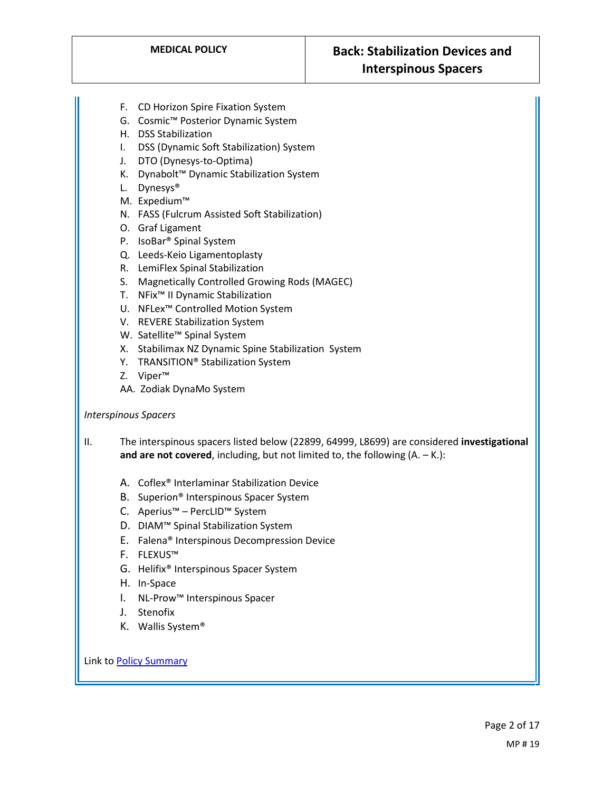- F. CD Horizon Spire Fixation System
- G. Cosmic™ Posterior Dynamic System
- H. DSS Stabilization
- I. DSS (Dynamic Soft Stabilization) System
- J. DTO (Dynesys-to-Optima)
- K. Dynabolt™ Dynamic Stabilization System
- L. Dynesys®
- M. Expedium™
- N. FASS (Fulcrum Assisted Soft Stabilization)
- O. Graf Ligament
- P. IsoBar® Spinal System
- Q. Leeds-Keio Ligamentoplasty
- R. LemiFlex Spinal Stabilization
- S. Magnetically Controlled Growing Rods (MAGEC)
- T. NFix™ II Dynamic Stabilization
- U. NFLex™ Controlled Motion System
- V. REVERE Stabilization System
- W. Satellite<sup>™</sup> Spinal System
- X. Stabilimax NZ Dynamic Spine Stabilization System
- Y. TRANSITION® Stabilization System
- Z. Viper™
- AA. Zodiak DynaMo System

#### *Interspinous Spacers*

II. The interspinous spacers listed below (22899, 64999, L8699) are considered **investigational and are not covered**, including, but not limited to, the following  $(A. - K.):$ 

- A. Coflex® Interlaminar Stabilization Device
- B. Superion® Interspinous Spacer System
- C. Aperius™ PercLID™ System
- D. DIAM™ Spinal Stabilization System
- E. Falena® Interspinous Decompression Device
- F. FLEXUS™
- G. Helifix® Interspinous Spacer System
- H. In-Space
- I. NL-Prow™ Interspinous Spacer
- J. Stenofix
- K. Wallis System®

Link t[o Policy Summary](#page-12-0)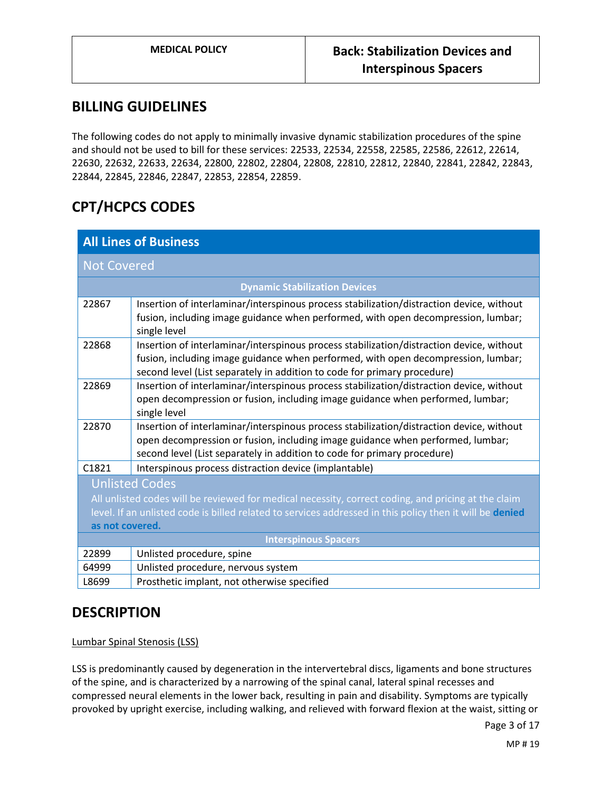# **BILLING GUIDELINES**

The following codes do not apply to minimally invasive dynamic stabilization procedures of the spine and should not be used to bill for these services: 22533, 22534, 22558, 22585, 22586, 22612, 22614, 22630, 22632, 22633, 22634, 22800, 22802, 22804, 22808, 22810, 22812, 22840, 22841, 22842, 22843, 22844, 22845, 22846, 22847, 22853, 22854, 22859.

# **CPT/HCPCS CODES**

| <b>All Lines of Business</b>                                                                                                 |                                                                                                                                                                                                                                                           |
|------------------------------------------------------------------------------------------------------------------------------|-----------------------------------------------------------------------------------------------------------------------------------------------------------------------------------------------------------------------------------------------------------|
| <b>Not Covered</b>                                                                                                           |                                                                                                                                                                                                                                                           |
| <b>Dynamic Stabilization Devices</b>                                                                                         |                                                                                                                                                                                                                                                           |
| 22867                                                                                                                        | Insertion of interlaminar/interspinous process stabilization/distraction device, without<br>fusion, including image guidance when performed, with open decompression, lumbar;<br>single level                                                             |
| 22868                                                                                                                        | Insertion of interlaminar/interspinous process stabilization/distraction device, without<br>fusion, including image guidance when performed, with open decompression, lumbar;<br>second level (List separately in addition to code for primary procedure) |
| 22869                                                                                                                        | Insertion of interlaminar/interspinous process stabilization/distraction device, without<br>open decompression or fusion, including image guidance when performed, lumbar;<br>single level                                                                |
| 22870                                                                                                                        | Insertion of interlaminar/interspinous process stabilization/distraction device, without<br>open decompression or fusion, including image guidance when performed, lumbar;<br>second level (List separately in addition to code for primary procedure)    |
| C1821                                                                                                                        | Interspinous process distraction device (implantable)                                                                                                                                                                                                     |
| <b>Unlisted Codes</b><br>All unlisted codes will be reviewed for medical necessity, correct coding, and pricing at the claim |                                                                                                                                                                                                                                                           |
| level. If an unlisted code is billed related to services addressed in this policy then it will be denied                     |                                                                                                                                                                                                                                                           |
| as not covered.                                                                                                              |                                                                                                                                                                                                                                                           |
| <b>Interspinous Spacers</b>                                                                                                  |                                                                                                                                                                                                                                                           |
| 22899                                                                                                                        | Unlisted procedure, spine                                                                                                                                                                                                                                 |
| 64999                                                                                                                        | Unlisted procedure, nervous system                                                                                                                                                                                                                        |
| L8699                                                                                                                        | Prosthetic implant, not otherwise specified                                                                                                                                                                                                               |

# **DESCRIPTION**

Lumbar Spinal Stenosis (LSS)

LSS is predominantly caused by degeneration in the intervertebral discs, ligaments and bone structures of the spine, and is characterized by a narrowing of the spinal canal, lateral spinal recesses and compressed neural elements in the lower back, resulting in pain and disability. Symptoms are typically provoked by upright exercise, including walking, and relieved with forward flexion at the waist, sitting or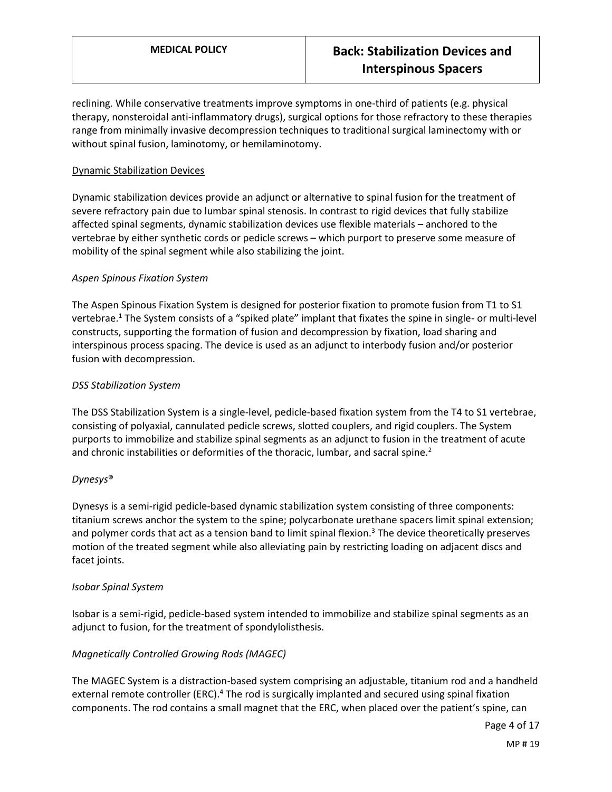reclining. While conservative treatments improve symptoms in one-third of patients (e.g. physical therapy, nonsteroidal anti-inflammatory drugs), surgical options for those refractory to these therapies range from minimally invasive decompression techniques to traditional surgical laminectomy with or without spinal fusion, laminotomy, or hemilaminotomy.

#### Dynamic Stabilization Devices

Dynamic stabilization devices provide an adjunct or alternative to spinal fusion for the treatment of severe refractory pain due to lumbar spinal stenosis. In contrast to rigid devices that fully stabilize affected spinal segments, dynamic stabilization devices use flexible materials – anchored to the vertebrae by either synthetic cords or pedicle screws – which purport to preserve some measure of mobility of the spinal segment while also stabilizing the joint.

## *Aspen Spinous Fixation System*

The Aspen Spinous Fixation System is designed for posterior fixation to promote fusion from T1 to S1 vertebrae.<sup>1</sup> The System consists of a "spiked plate" implant that fixates the spine in single- or multi-level constructs, supporting the formation of fusion and decompression by fixation, load sharing and interspinous process spacing. The device is used as an adjunct to interbody fusion and/or posterior fusion with decompression.

## *DSS Stabilization System*

The DSS Stabilization System is a single-level, pedicle-based fixation system from the T4 to S1 vertebrae, consisting of polyaxial, cannulated pedicle screws, slotted couplers, and rigid couplers. The System purports to immobilize and stabilize spinal segments as an adjunct to fusion in the treatment of acute and chronic instabilities or deformities of the thoracic, lumbar, and sacral spine.<sup>2</sup>

#### *Dynesys*®

Dynesys is a semi-rigid pedicle-based dynamic stabilization system consisting of three components: titanium screws anchor the system to the spine; polycarbonate urethane spacers limit spinal extension; and polymer cords that act as a tension band to limit spinal flexion.<sup>3</sup> The device theoretically preserves motion of the treated segment while also alleviating pain by restricting loading on adjacent discs and facet joints.

#### *Isobar Spinal System*

Isobar is a semi-rigid, pedicle-based system intended to immobilize and stabilize spinal segments as an adjunct to fusion, for the treatment of spondylolisthesis.

## *Magnetically Controlled Growing Rods (MAGEC)*

The MAGEC System is a distraction-based system comprising an adjustable, titanium rod and a handheld external remote controller (ERC).<sup>4</sup> The rod is surgically implanted and secured using spinal fixation components. The rod contains a small magnet that the ERC, when placed over the patient's spine, can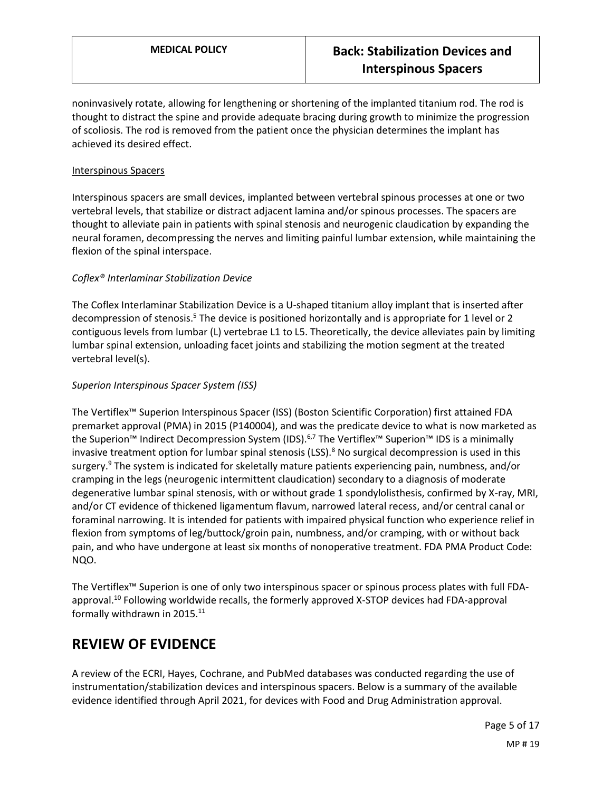noninvasively rotate, allowing for lengthening or shortening of the implanted titanium rod. The rod is thought to distract the spine and provide adequate bracing during growth to minimize the progression of scoliosis. The rod is removed from the patient once the physician determines the implant has achieved its desired effect.

#### Interspinous Spacers

Interspinous spacers are small devices, implanted between vertebral spinous processes at one or two vertebral levels, that stabilize or distract adjacent lamina and/or spinous processes. The spacers are thought to alleviate pain in patients with spinal stenosis and neurogenic claudication by expanding the neural foramen, decompressing the nerves and limiting painful lumbar extension, while maintaining the flexion of the spinal interspace.

## *Coflex® Interlaminar Stabilization Device*

The Coflex Interlaminar Stabilization Device is a U-shaped titanium alloy implant that is inserted after decompression of stenosis.<sup>5</sup> The device is positioned horizontally and is appropriate for 1 level or 2 contiguous levels from lumbar (L) vertebrae L1 to L5. Theoretically, the device alleviates pain by limiting lumbar spinal extension, unloading facet joints and stabilizing the motion segment at the treated vertebral level(s).

## *Superion Interspinous Spacer System (ISS)*

The Vertiflex™ Superion Interspinous Spacer (ISS) (Boston Scientific Corporation) first attained FDA premarket approval (PMA) in 2015 (P140004), and was the predicate device to what is now marketed as the Superion™ Indirect Decompression System (IDS).<sup>6,7</sup> The Vertiflex™ Superion™ IDS is a minimally invasive treatment option for lumbar spinal stenosis  $(LSS)$ .<sup>8</sup> No surgical decompression is used in this surgery.<sup>9</sup> The system is indicated for skeletally mature patients experiencing pain, numbness, and/or cramping in the legs (neurogenic intermittent claudication) secondary to a diagnosis of moderate degenerative lumbar spinal stenosis, with or without grade 1 spondylolisthesis, confirmed by X-ray, MRI, and/or CT evidence of thickened ligamentum flavum, narrowed lateral recess, and/or central canal or foraminal narrowing. It is intended for patients with impaired physical function who experience relief in flexion from symptoms of leg/buttock/groin pain, numbness, and/or cramping, with or without back pain, and who have undergone at least six months of nonoperative treatment. FDA PMA Product Code: NQO.

The Vertiflex™ Superion is one of only two interspinous spacer or spinous process plates with full FDAapproval.<sup>10</sup> Following worldwide recalls, the formerly approved X-STOP devices had FDA-approval formally withdrawn in 2015.<sup>11</sup>

# **REVIEW OF EVIDENCE**

A review of the ECRI, Hayes, Cochrane, and PubMed databases was conducted regarding the use of instrumentation/stabilization devices and interspinous spacers. Below is a summary of the available evidence identified through April 2021, for devices with Food and Drug Administration approval.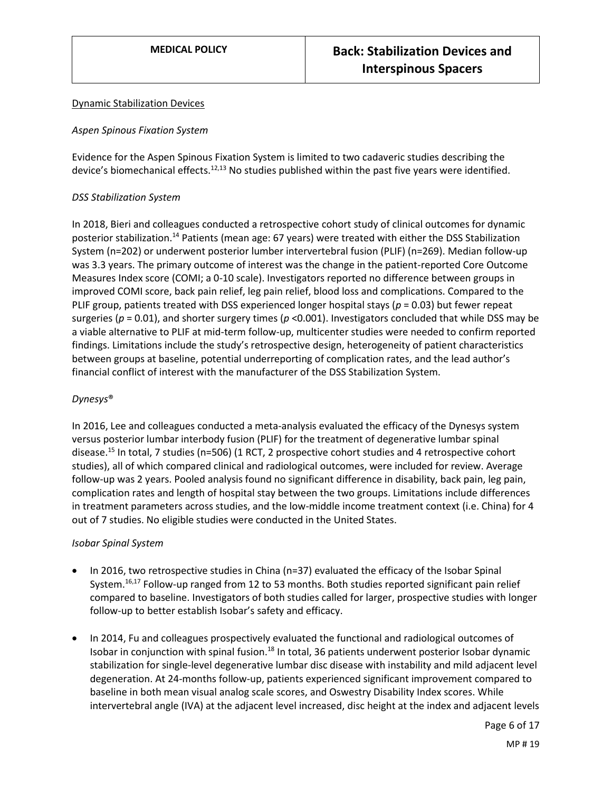#### Dynamic Stabilization Devices

#### *Aspen Spinous Fixation System*

Evidence for the Aspen Spinous Fixation System is limited to two cadaveric studies describing the device's biomechanical effects.<sup>12,13</sup> No studies published within the past five years were identified.

#### *DSS Stabilization System*

In 2018, Bieri and colleagues conducted a retrospective cohort study of clinical outcomes for dynamic posterior stabilization.<sup>14</sup> Patients (mean age: 67 years) were treated with either the DSS Stabilization System (n=202) or underwent posterior lumber intervertebral fusion (PLIF) (n=269). Median follow-up was 3.3 years. The primary outcome of interest was the change in the patient-reported Core Outcome Measures Index score (COMI; a 0-10 scale). Investigators reported no difference between groups in improved COMI score, back pain relief, leg pain relief, blood loss and complications. Compared to the PLIF group, patients treated with DSS experienced longer hospital stays (*p* = 0.03) but fewer repeat surgeries (*p* = 0.01), and shorter surgery times (*p* <0.001). Investigators concluded that while DSS may be a viable alternative to PLIF at mid-term follow-up, multicenter studies were needed to confirm reported findings. Limitations include the study's retrospective design, heterogeneity of patient characteristics between groups at baseline, potential underreporting of complication rates, and the lead author's financial conflict of interest with the manufacturer of the DSS Stabilization System.

#### *Dynesys*®

In 2016, Lee and colleagues conducted a meta-analysis evaluated the efficacy of the Dynesys system versus posterior lumbar interbody fusion (PLIF) for the treatment of degenerative lumbar spinal disease.<sup>15</sup> In total, 7 studies (n=506) (1 RCT, 2 prospective cohort studies and 4 retrospective cohort studies), all of which compared clinical and radiological outcomes, were included for review. Average follow-up was 2 years. Pooled analysis found no significant difference in disability, back pain, leg pain, complication rates and length of hospital stay between the two groups. Limitations include differences in treatment parameters across studies, and the low-middle income treatment context (i.e. China) for 4 out of 7 studies. No eligible studies were conducted in the United States.

#### *Isobar Spinal System*

- In 2016, two retrospective studies in China (n=37) evaluated the efficacy of the Isobar Spinal System.<sup>16,17</sup> Follow-up ranged from 12 to 53 months. Both studies reported significant pain relief compared to baseline. Investigators of both studies called for larger, prospective studies with longer follow-up to better establish Isobar's safety and efficacy.
- In 2014, Fu and colleagues prospectively evaluated the functional and radiological outcomes of Isobar in conjunction with spinal fusion.<sup>18</sup> In total, 36 patients underwent posterior Isobar dynamic stabilization for single-level degenerative lumbar disc disease with instability and mild adjacent level degeneration. At 24-months follow-up, patients experienced significant improvement compared to baseline in both mean visual analog scale scores, and Oswestry Disability Index scores. While intervertebral angle (IVA) at the adjacent level increased, disc height at the index and adjacent levels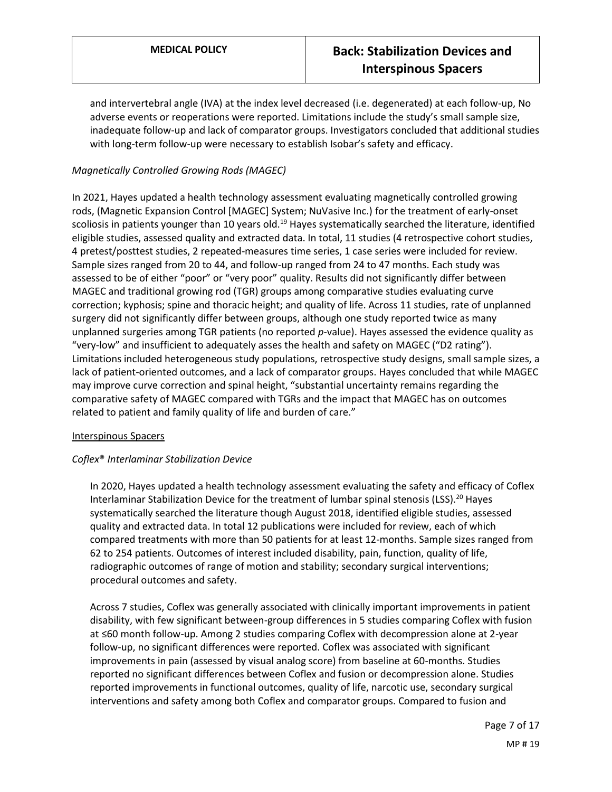and intervertebral angle (IVA) at the index level decreased (i.e. degenerated) at each follow-up, No adverse events or reoperations were reported. Limitations include the study's small sample size, inadequate follow-up and lack of comparator groups. Investigators concluded that additional studies with long-term follow-up were necessary to establish Isobar's safety and efficacy.

## *Magnetically Controlled Growing Rods (MAGEC)*

In 2021, Hayes updated a health technology assessment evaluating magnetically controlled growing rods, (Magnetic Expansion Control [MAGEC] System; NuVasive Inc.) for the treatment of early-onset scoliosis in patients younger than 10 years old.<sup>19</sup> Hayes systematically searched the literature, identified eligible studies, assessed quality and extracted data. In total, 11 studies (4 retrospective cohort studies, 4 pretest/posttest studies, 2 repeated-measures time series, 1 case series were included for review. Sample sizes ranged from 20 to 44, and follow-up ranged from 24 to 47 months. Each study was assessed to be of either "poor" or "very poor" quality. Results did not significantly differ between MAGEC and traditional growing rod (TGR) groups among comparative studies evaluating curve correction; kyphosis; spine and thoracic height; and quality of life. Across 11 studies, rate of unplanned surgery did not significantly differ between groups, although one study reported twice as many unplanned surgeries among TGR patients (no reported *p*-value). Hayes assessed the evidence quality as "very-low" and insufficient to adequately asses the health and safety on MAGEC ("D2 rating"). Limitations included heterogeneous study populations, retrospective study designs, small sample sizes, a lack of patient-oriented outcomes, and a lack of comparator groups. Hayes concluded that while MAGEC may improve curve correction and spinal height, "substantial uncertainty remains regarding the comparative safety of MAGEC compared with TGRs and the impact that MAGEC has on outcomes related to patient and family quality of life and burden of care."

#### Interspinous Spacers

## *Coflex*® *Interlaminar Stabilization Device*

In 2020, Hayes updated a health technology assessment evaluating the safety and efficacy of Coflex Interlaminar Stabilization Device for the treatment of lumbar spinal stenosis (LSS).<sup>20</sup> Hayes systematically searched the literature though August 2018, identified eligible studies, assessed quality and extracted data. In total 12 publications were included for review, each of which compared treatments with more than 50 patients for at least 12-months. Sample sizes ranged from 62 to 254 patients. Outcomes of interest included disability, pain, function, quality of life, radiographic outcomes of range of motion and stability; secondary surgical interventions; procedural outcomes and safety.

Across 7 studies, Coflex was generally associated with clinically important improvements in patient disability, with few significant between-group differences in 5 studies comparing Coflex with fusion at ≤60 month follow-up. Among 2 studies comparing Coflex with decompression alone at 2-year follow-up, no significant differences were reported. Coflex was associated with significant improvements in pain (assessed by visual analog score) from baseline at 60-months. Studies reported no significant differences between Coflex and fusion or decompression alone. Studies reported improvements in functional outcomes, quality of life, narcotic use, secondary surgical interventions and safety among both Coflex and comparator groups. Compared to fusion and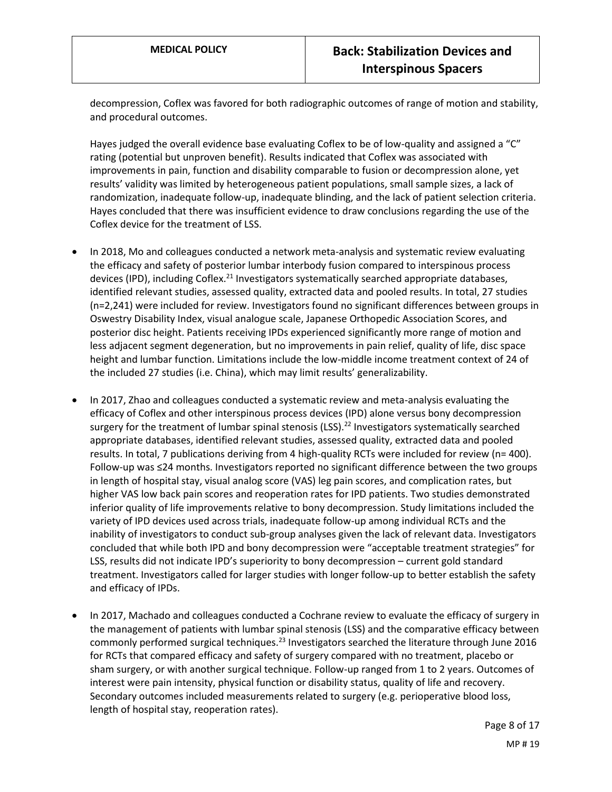decompression, Coflex was favored for both radiographic outcomes of range of motion and stability, and procedural outcomes.

Hayes judged the overall evidence base evaluating Coflex to be of low-quality and assigned a "C" rating (potential but unproven benefit). Results indicated that Coflex was associated with improvements in pain, function and disability comparable to fusion or decompression alone, yet results' validity was limited by heterogeneous patient populations, small sample sizes, a lack of randomization, inadequate follow-up, inadequate blinding, and the lack of patient selection criteria. Hayes concluded that there was insufficient evidence to draw conclusions regarding the use of the Coflex device for the treatment of LSS.

- In 2018, Mo and colleagues conducted a network meta-analysis and systematic review evaluating the efficacy and safety of posterior lumbar interbody fusion compared to interspinous process devices (IPD), including Coflex.<sup>21</sup> Investigators systematically searched appropriate databases, identified relevant studies, assessed quality, extracted data and pooled results. In total, 27 studies (n=2,241) were included for review. Investigators found no significant differences between groups in Oswestry Disability Index, visual analogue scale, Japanese Orthopedic Association Scores, and posterior disc height. Patients receiving IPDs experienced significantly more range of motion and less adjacent segment degeneration, but no improvements in pain relief, quality of life, disc space height and lumbar function. Limitations include the low-middle income treatment context of 24 of the included 27 studies (i.e. China), which may limit results' generalizability.
- In 2017, Zhao and colleagues conducted a systematic review and meta-analysis evaluating the efficacy of Coflex and other interspinous process devices (IPD) alone versus bony decompression surgery for the treatment of lumbar spinal stenosis (LSS).<sup>22</sup> Investigators systematically searched appropriate databases, identified relevant studies, assessed quality, extracted data and pooled results. In total, 7 publications deriving from 4 high-quality RCTs were included for review (n= 400). Follow-up was ≤24 months. Investigators reported no significant difference between the two groups in length of hospital stay, visual analog score (VAS) leg pain scores, and complication rates, but higher VAS low back pain scores and reoperation rates for IPD patients. Two studies demonstrated inferior quality of life improvements relative to bony decompression. Study limitations included the variety of IPD devices used across trials, inadequate follow-up among individual RCTs and the inability of investigators to conduct sub-group analyses given the lack of relevant data. Investigators concluded that while both IPD and bony decompression were "acceptable treatment strategies" for LSS, results did not indicate IPD's superiority to bony decompression – current gold standard treatment. Investigators called for larger studies with longer follow-up to better establish the safety and efficacy of IPDs.
- In 2017, Machado and colleagues conducted a Cochrane review to evaluate the efficacy of surgery in the management of patients with lumbar spinal stenosis (LSS) and the comparative efficacy between commonly performed surgical techniques.<sup>23</sup> Investigators searched the literature through June 2016 for RCTs that compared efficacy and safety of surgery compared with no treatment, placebo or sham surgery, or with another surgical technique. Follow-up ranged from 1 to 2 years. Outcomes of interest were pain intensity, physical function or disability status, quality of life and recovery. Secondary outcomes included measurements related to surgery (e.g. perioperative blood loss, length of hospital stay, reoperation rates).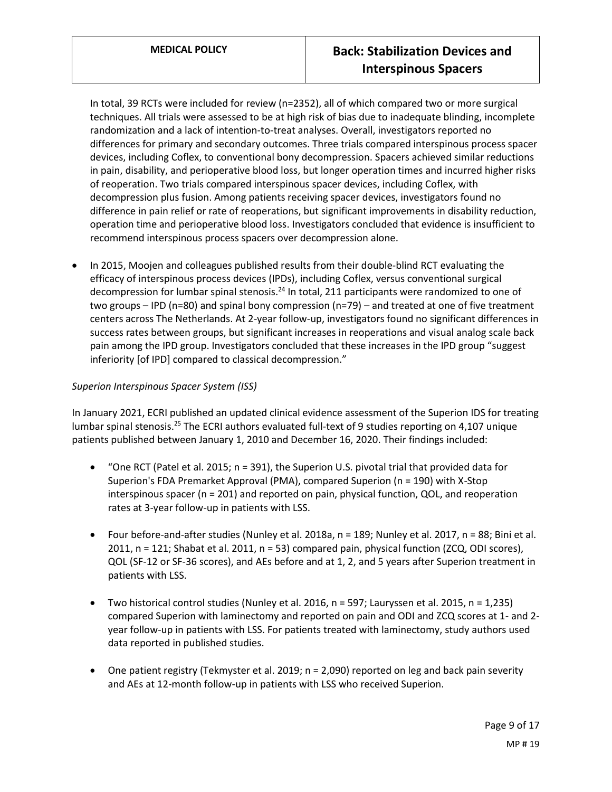In total, 39 RCTs were included for review (n=2352), all of which compared two or more surgical techniques. All trials were assessed to be at high risk of bias due to inadequate blinding, incomplete randomization and a lack of intention-to-treat analyses. Overall, investigators reported no differences for primary and secondary outcomes. Three trials compared interspinous process spacer devices, including Coflex, to conventional bony decompression. Spacers achieved similar reductions in pain, disability, and perioperative blood loss, but longer operation times and incurred higher risks of reoperation. Two trials compared interspinous spacer devices, including Coflex, with decompression plus fusion. Among patients receiving spacer devices, investigators found no difference in pain relief or rate of reoperations, but significant improvements in disability reduction, operation time and perioperative blood loss. Investigators concluded that evidence is insufficient to recommend interspinous process spacers over decompression alone.

 In 2015, Moojen and colleagues published results from their double-blind RCT evaluating the efficacy of interspinous process devices (IPDs), including Coflex, versus conventional surgical decompression for lumbar spinal stenosis.<sup>24</sup> In total, 211 participants were randomized to one of two groups – IPD (n=80) and spinal bony compression (n=79) – and treated at one of five treatment centers across The Netherlands. At 2-year follow-up, investigators found no significant differences in success rates between groups, but significant increases in reoperations and visual analog scale back pain among the IPD group. Investigators concluded that these increases in the IPD group "suggest inferiority [of IPD] compared to classical decompression."

## *Superion Interspinous Spacer System (ISS)*

In January 2021, ECRI published an updated clinical evidence assessment of the Superion IDS for treating lumbar spinal stenosis.<sup>25</sup> The ECRI authors evaluated full-text of 9 studies reporting on 4,107 unique patients published between January 1, 2010 and December 16, 2020. Their findings included:

- "One RCT (Patel et al. 2015; n = 391), the Superion U.S. pivotal trial that provided data for Superion's FDA Premarket Approval (PMA), compared Superion (n = 190) with X-Stop interspinous spacer (n = 201) and reported on pain, physical function, QOL, and reoperation rates at 3-year follow-up in patients with LSS.
- Four before-and-after studies (Nunley et al. 2018a,  $n = 189$ ; Nunley et al. 2017,  $n = 88$ ; Bini et al. 2011, n = 121; Shabat et al. 2011, n = 53) compared pain, physical function (ZCQ, ODI scores), QOL (SF-12 or SF-36 scores), and AEs before and at 1, 2, and 5 years after Superion treatment in patients with LSS.
- Two historical control studies (Nunley et al. 2016,  $n = 597$ ; Lauryssen et al. 2015,  $n = 1,235$ ) compared Superion with laminectomy and reported on pain and ODI and ZCQ scores at 1- and 2 year follow-up in patients with LSS. For patients treated with laminectomy, study authors used data reported in published studies.
- One patient registry (Tekmyster et al. 2019; n = 2,090) reported on leg and back pain severity and AEs at 12-month follow-up in patients with LSS who received Superion.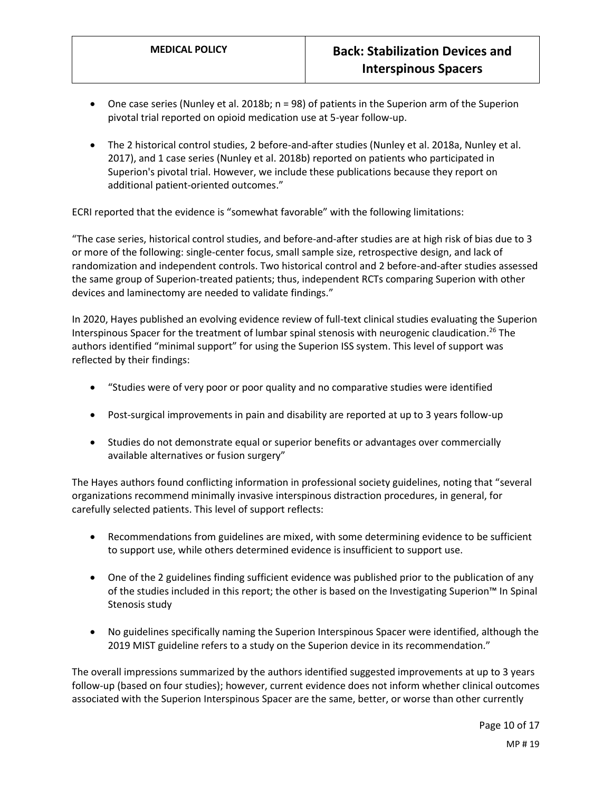- One case series (Nunley et al. 2018b; n = 98) of patients in the Superion arm of the Superion pivotal trial reported on opioid medication use at 5-year follow-up.
- The 2 historical control studies, 2 before-and-after studies (Nunley et al. 2018a, Nunley et al. 2017), and 1 case series (Nunley et al. 2018b) reported on patients who participated in Superion's pivotal trial. However, we include these publications because they report on additional patient-oriented outcomes."

ECRI reported that the evidence is "somewhat favorable" with the following limitations:

"The case series, historical control studies, and before-and-after studies are at high risk of bias due to 3 or more of the following: single-center focus, small sample size, retrospective design, and lack of randomization and independent controls. Two historical control and 2 before-and-after studies assessed the same group of Superion-treated patients; thus, independent RCTs comparing Superion with other devices and laminectomy are needed to validate findings."

In 2020, Hayes published an evolving evidence review of full-text clinical studies evaluating the Superion Interspinous Spacer for the treatment of lumbar spinal stenosis with neurogenic claudication. <sup>26</sup> The authors identified "minimal support" for using the Superion ISS system. This level of support was reflected by their findings:

- "Studies were of very poor or poor quality and no comparative studies were identified
- Post-surgical improvements in pain and disability are reported at up to 3 years follow-up
- Studies do not demonstrate equal or superior benefits or advantages over commercially available alternatives or fusion surgery"

The Hayes authors found conflicting information in professional society guidelines, noting that "several organizations recommend minimally invasive interspinous distraction procedures, in general, for carefully selected patients. This level of support reflects:

- Recommendations from guidelines are mixed, with some determining evidence to be sufficient to support use, while others determined evidence is insufficient to support use.
- One of the 2 guidelines finding sufficient evidence was published prior to the publication of any of the studies included in this report; the other is based on the Investigating Superion™ In Spinal Stenosis study
- No guidelines specifically naming the Superion Interspinous Spacer were identified, although the 2019 MIST guideline refers to a study on the Superion device in its recommendation."

The overall impressions summarized by the authors identified suggested improvements at up to 3 years follow-up (based on four studies); however, current evidence does not inform whether clinical outcomes associated with the Superion Interspinous Spacer are the same, better, or worse than other currently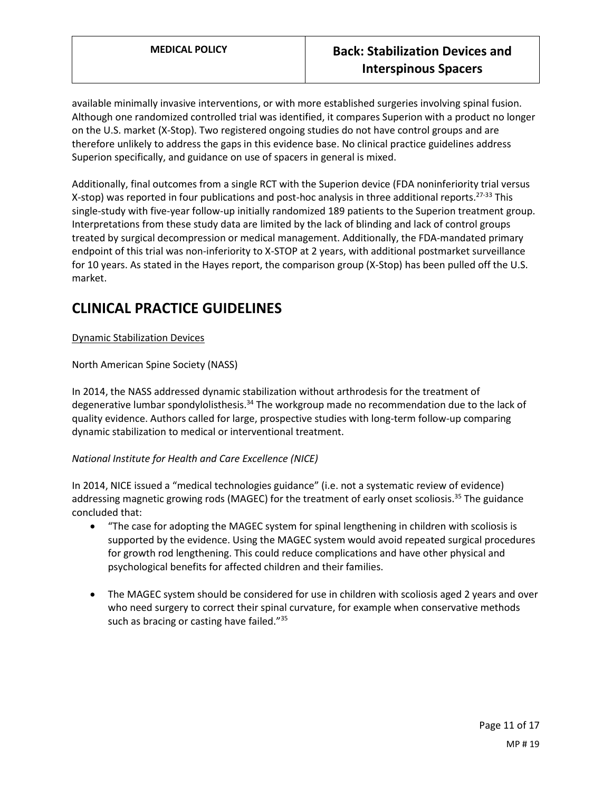available minimally invasive interventions, or with more established surgeries involving spinal fusion. Although one randomized controlled trial was identified, it compares Superion with a product no longer on the U.S. market (X-Stop). Two registered ongoing studies do not have control groups and are therefore unlikely to address the gaps in this evidence base. No clinical practice guidelines address Superion specifically, and guidance on use of spacers in general is mixed.

Additionally, final outcomes from a single RCT with the Superion device (FDA noninferiority trial versus X-stop) was reported in four publications and post-hoc analysis in three additional reports.<sup>27-33</sup> This single-study with five-year follow-up initially randomized 189 patients to the Superion treatment group. Interpretations from these study data are limited by the lack of blinding and lack of control groups treated by surgical decompression or medical management. Additionally, the FDA-mandated primary endpoint of this trial was non-inferiority to X-STOP at 2 years, with additional postmarket surveillance for 10 years. As stated in the Hayes report, the comparison group (X-Stop) has been pulled off the U.S. market.

# **CLINICAL PRACTICE GUIDELINES**

## Dynamic Stabilization Devices

North American Spine Society (NASS)

In 2014, the NASS addressed dynamic stabilization without arthrodesis for the treatment of degenerative lumbar spondylolisthesis.<sup>34</sup> The workgroup made no recommendation due to the lack of quality evidence. Authors called for large, prospective studies with long-term follow-up comparing dynamic stabilization to medical or interventional treatment.

## *National Institute for Health and Care Excellence (NICE)*

In 2014, NICE issued a "medical technologies guidance" (i.e. not a systematic review of evidence) addressing magnetic growing rods (MAGEC) for the treatment of early onset scoliosis.<sup>35</sup> The guidance concluded that:

- "The case for adopting the MAGEC system for spinal lengthening in children with scoliosis is supported by the evidence. Using the MAGEC system would avoid repeated surgical procedures for growth rod lengthening. This could reduce complications and have other physical and psychological benefits for affected children and their families.
- The MAGEC system should be considered for use in children with scoliosis aged 2 years and over who need surgery to correct their spinal curvature, for example when conservative methods such as bracing or casting have failed."<sup>35</sup>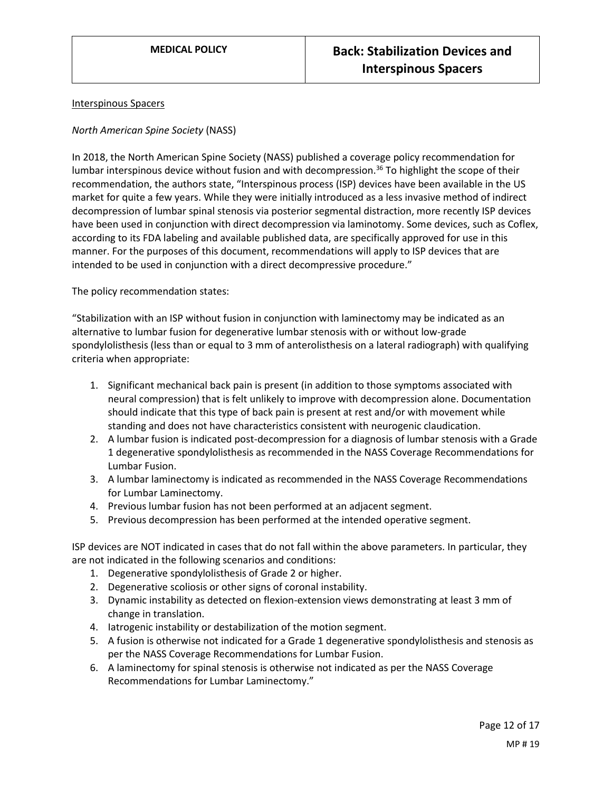#### Interspinous Spacers

#### *North American Spine Society* (NASS)

In 2018, the North American Spine Society (NASS) published a coverage policy recommendation for lumbar interspinous device without fusion and with decompression.<sup>36</sup> To highlight the scope of their recommendation, the authors state, "Interspinous process (ISP) devices have been available in the US market for quite a few years. While they were initially introduced as a less invasive method of indirect decompression of lumbar spinal stenosis via posterior segmental distraction, more recently ISP devices have been used in conjunction with direct decompression via laminotomy. Some devices, such as Coflex, according to its FDA labeling and available published data, are specifically approved for use in this manner. For the purposes of this document, recommendations will apply to ISP devices that are intended to be used in conjunction with a direct decompressive procedure."

The policy recommendation states:

"Stabilization with an ISP without fusion in conjunction with laminectomy may be indicated as an alternative to lumbar fusion for degenerative lumbar stenosis with or without low-grade spondylolisthesis (less than or equal to 3 mm of anterolisthesis on a lateral radiograph) with qualifying criteria when appropriate:

- 1. Significant mechanical back pain is present (in addition to those symptoms associated with neural compression) that is felt unlikely to improve with decompression alone. Documentation should indicate that this type of back pain is present at rest and/or with movement while standing and does not have characteristics consistent with neurogenic claudication.
- 2. A lumbar fusion is indicated post-decompression for a diagnosis of lumbar stenosis with a Grade 1 degenerative spondylolisthesis as recommended in the NASS Coverage Recommendations for Lumbar Fusion.
- 3. A lumbar laminectomy is indicated as recommended in the NASS Coverage Recommendations for Lumbar Laminectomy.
- 4. Previous lumbar fusion has not been performed at an adjacent segment.
- 5. Previous decompression has been performed at the intended operative segment.

ISP devices are NOT indicated in cases that do not fall within the above parameters. In particular, they are not indicated in the following scenarios and conditions:

- 1. Degenerative spondylolisthesis of Grade 2 or higher.
- 2. Degenerative scoliosis or other signs of coronal instability.
- 3. Dynamic instability as detected on flexion-extension views demonstrating at least 3 mm of change in translation.
- 4. Iatrogenic instability or destabilization of the motion segment.
- 5. A fusion is otherwise not indicated for a Grade 1 degenerative spondylolisthesis and stenosis as per the NASS Coverage Recommendations for Lumbar Fusion.
- 6. A laminectomy for spinal stenosis is otherwise not indicated as per the NASS Coverage Recommendations for Lumbar Laminectomy."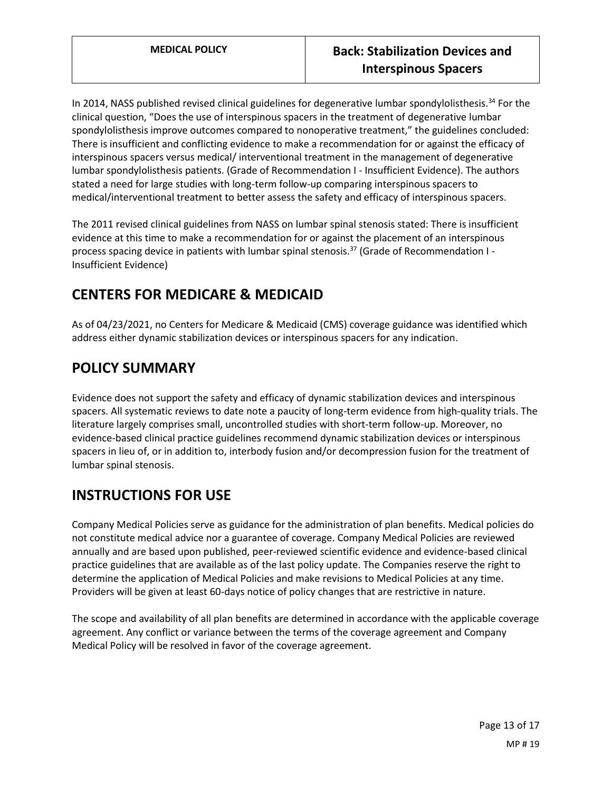In 2014, NASS published revised clinical guidelines for degenerative lumbar spondylolisthesis.<sup>34</sup> For the clinical question, "Does the use of interspinous spacers in the treatment of degenerative lumbar spondylolisthesis improve outcomes compared to nonoperative treatment," the guidelines concluded: There is insufficient and conflicting evidence to make a recommendation for or against the efficacy of interspinous spacers versus medical/ interventional treatment in the management of degenerative lumbar spondylolisthesis patients. (Grade of Recommendation I - Insufficient Evidence). The authors stated a need for large studies with long-term follow-up comparing interspinous spacers to medical/interventional treatment to better assess the safety and efficacy of interspinous spacers.

The 2011 revised clinical guidelines from NASS on lumbar spinal stenosis stated: There is insufficient evidence at this time to make a recommendation for or against the placement of an interspinous process spacing device in patients with lumbar spinal stenosis.<sup>37</sup> (Grade of Recommendation  $I$ -Insufficient Evidence)

# **CENTERS FOR MEDICARE & MEDICAID**

As of 04/23/2021, no Centers for Medicare & Medicaid (CMS) coverage guidance was identified which address either dynamic stabilization devices or interspinous spacers for any indication.

# <span id="page-12-0"></span>**POLICY SUMMARY**

Evidence does not support the safety and efficacy of dynamic stabilization devices and interspinous spacers. All systematic reviews to date note a paucity of long-term evidence from high-quality trials. The literature largely comprises small, uncontrolled studies with short-term follow-up. Moreover, no evidence-based clinical practice guidelines recommend dynamic stabilization devices or interspinous spacers in lieu of, or in addition to, interbody fusion and/or decompression fusion for the treatment of lumbar spinal stenosis.

# **INSTRUCTIONS FOR USE**

Company Medical Policies serve as guidance for the administration of plan benefits. Medical policies do not constitute medical advice nor a guarantee of coverage. Company Medical Policies are reviewed annually and are based upon published, peer-reviewed scientific evidence and evidence-based clinical practice guidelines that are available as of the last policy update. The Companies reserve the right to determine the application of Medical Policies and make revisions to Medical Policies at any time. Providers will be given at least 60-days notice of policy changes that are restrictive in nature.

The scope and availability of all plan benefits are determined in accordance with the applicable coverage agreement. Any conflict or variance between the terms of the coverage agreement and Company Medical Policy will be resolved in favor of the coverage agreement.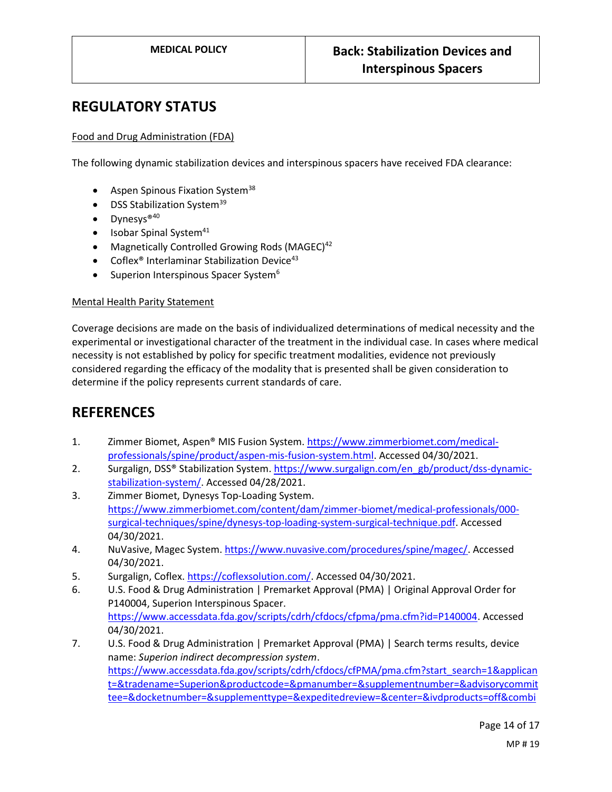# **REGULATORY STATUS**

## Food and Drug Administration (FDA)

The following dynamic stabilization devices and interspinous spacers have received FDA clearance:

- $\bullet$  Aspen Spinous Fixation System<sup>38</sup>
- $\bullet$  DSS Stabilization System<sup>39</sup>
- Dynesys<sup>®40</sup>
- $\bullet$  Isobar Spinal System<sup>41</sup>
- Magnetically Controlled Growing Rods (MAGEC) $42$
- Coflex<sup>®</sup> Interlaminar Stabilization Device<sup>43</sup>
- $\bullet$  Superion Interspinous Spacer System<sup>6</sup>

#### Mental Health Parity Statement

Coverage decisions are made on the basis of individualized determinations of medical necessity and the experimental or investigational character of the treatment in the individual case. In cases where medical necessity is not established by policy for specific treatment modalities, evidence not previously considered regarding the efficacy of the modality that is presented shall be given consideration to determine if the policy represents current standards of care.

# **REFERENCES**

- 1. Zimmer Biomet, Aspen® MIS Fusion System. [https://www.zimmerbiomet.com/medical](https://www.zimmerbiomet.com/medical-professionals/spine/product/aspen-mis-fusion-system.html)[professionals/spine/product/aspen-mis-fusion-system.html.](https://www.zimmerbiomet.com/medical-professionals/spine/product/aspen-mis-fusion-system.html) Accessed 04/30/2021.
- 2. Surgalign, DSS® Stabilization System. [https://www.surgalign.com/en\\_gb/product/dss-dynamic](https://www.surgalign.com/en_gb/product/dss-dynamic-stabilization-system/)[stabilization-system/.](https://www.surgalign.com/en_gb/product/dss-dynamic-stabilization-system/) Accessed 04/28/2021.
- 3. Zimmer Biomet, Dynesys Top-Loading System. [https://www.zimmerbiomet.com/content/dam/zimmer-biomet/medical-professionals/000](https://www.zimmerbiomet.com/content/dam/zimmer-biomet/medical-professionals/000-surgical-techniques/spine/dynesys-top-loading-system-surgical-technique.pdf) [surgical-techniques/spine/dynesys-top-loading-system-surgical-technique.pdf.](https://www.zimmerbiomet.com/content/dam/zimmer-biomet/medical-professionals/000-surgical-techniques/spine/dynesys-top-loading-system-surgical-technique.pdf) Accessed 04/30/2021.
- 4. NuVasive, Magec System. [https://www.nuvasive.com/procedures/spine/magec/.](https://www.nuvasive.com/procedures/spine/magec/) Accessed 04/30/2021.
- 5. Surgalign, Coflex[. https://coflexsolution.com/.](https://coflexsolution.com/) Accessed 04/30/2021.
- 6. U.S. Food & Drug Administration | Premarket Approval (PMA) | Original Approval Order for P140004, Superion Interspinous Spacer. [https://www.accessdata.fda.gov/scripts/cdrh/cfdocs/cfpma/pma.cfm?id=P140004.](https://www.accessdata.fda.gov/scripts/cdrh/cfdocs/cfpma/pma.cfm?id=P140004) Accessed 04/30/2021.
- 7. U.S. Food & Drug Administration | Premarket Approval (PMA) | Search terms results, device name: *Superion indirect decompression system*. [https://www.accessdata.fda.gov/scripts/cdrh/cfdocs/cfPMA/pma.cfm?start\\_search=1&applican](https://www.accessdata.fda.gov/scripts/cdrh/cfdocs/cfPMA/pma.cfm?start_search=1&applicant=&tradename=Superion&productcode=&pmanumber=&supplementnumber=&advisorycommittee=&docketnumber=&supplementtype=&expeditedreview=¢er=&ivdproducts=off&combinationproducts=off&decisiondatefrom=&decisiondateto=02%2F25%2F2021¬icedatefrom=¬icedateto=&znumber=&pagenum=500) [t=&tradename=Superion&productcode=&pmanumber=&supplementnumber=&advisorycommit](https://www.accessdata.fda.gov/scripts/cdrh/cfdocs/cfPMA/pma.cfm?start_search=1&applicant=&tradename=Superion&productcode=&pmanumber=&supplementnumber=&advisorycommittee=&docketnumber=&supplementtype=&expeditedreview=¢er=&ivdproducts=off&combinationproducts=off&decisiondatefrom=&decisiondateto=02%2F25%2F2021¬icedatefrom=¬icedateto=&znumber=&pagenum=500) [tee=&docketnumber=&supplementtype=&expeditedreview=&center=&ivdproducts=off&combi](https://www.accessdata.fda.gov/scripts/cdrh/cfdocs/cfPMA/pma.cfm?start_search=1&applicant=&tradename=Superion&productcode=&pmanumber=&supplementnumber=&advisorycommittee=&docketnumber=&supplementtype=&expeditedreview=¢er=&ivdproducts=off&combinationproducts=off&decisiondatefrom=&decisiondateto=02%2F25%2F2021¬icedatefrom=¬icedateto=&znumber=&pagenum=500)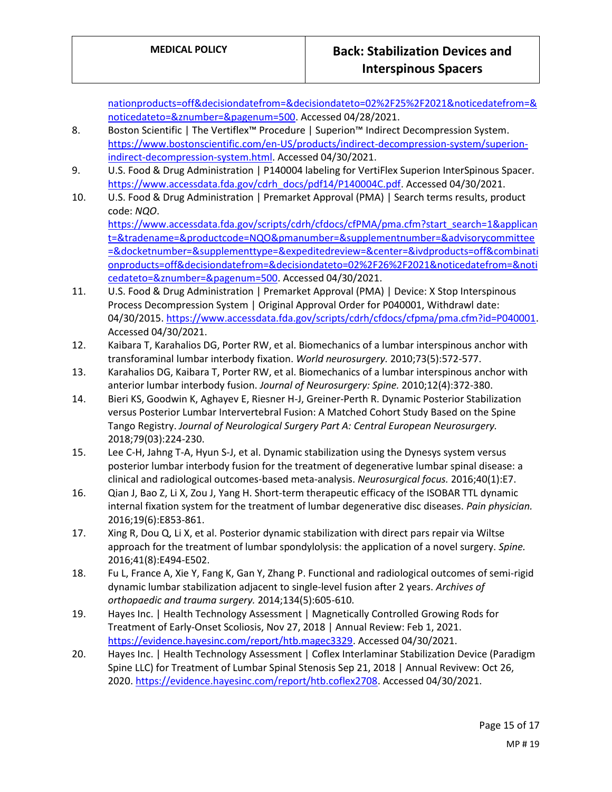[nationproducts=off&decisiondatefrom=&decisiondateto=02%2F25%2F2021&noticedatefrom=&](https://www.accessdata.fda.gov/scripts/cdrh/cfdocs/cfPMA/pma.cfm?start_search=1&applicant=&tradename=Superion&productcode=&pmanumber=&supplementnumber=&advisorycommittee=&docketnumber=&supplementtype=&expeditedreview=¢er=&ivdproducts=off&combinationproducts=off&decisiondatefrom=&decisiondateto=02%2F25%2F2021¬icedatefrom=¬icedateto=&znumber=&pagenum=500) [noticedateto=&znumber=&pagenum=500.](https://www.accessdata.fda.gov/scripts/cdrh/cfdocs/cfPMA/pma.cfm?start_search=1&applicant=&tradename=Superion&productcode=&pmanumber=&supplementnumber=&advisorycommittee=&docketnumber=&supplementtype=&expeditedreview=¢er=&ivdproducts=off&combinationproducts=off&decisiondatefrom=&decisiondateto=02%2F25%2F2021¬icedatefrom=¬icedateto=&znumber=&pagenum=500) Accessed 04/28/2021.

- 8. Boston Scientific | The Vertiflex™ Procedure | Superion™ Indirect Decompression System. [https://www.bostonscientific.com/en-US/products/indirect-decompression-system/superion](https://www.bostonscientific.com/en-US/products/indirect-decompression-system/superion-indirect-decompression-system.html)[indirect-decompression-system.html.](https://www.bostonscientific.com/en-US/products/indirect-decompression-system/superion-indirect-decompression-system.html) Accessed 04/30/2021.
- 9. U.S. Food & Drug Administration | P140004 labeling for VertiFlex Superion InterSpinous Spacer. [https://www.accessdata.fda.gov/cdrh\\_docs/pdf14/P140004C.pdf.](https://www.accessdata.fda.gov/cdrh_docs/pdf14/P140004C.pdf) Accessed 04/30/2021.
- 10. U.S. Food & Drug Administration | Premarket Approval (PMA) | Search terms results, product code: *NQO*. [https://www.accessdata.fda.gov/scripts/cdrh/cfdocs/cfPMA/pma.cfm?start\\_search=1&applican](https://www.accessdata.fda.gov/scripts/cdrh/cfdocs/cfPMA/pma.cfm?start_search=1&applicant=&tradename=&productcode=NQO&pmanumber=&supplementnumber=&advisorycommittee=&docketnumber=&supplementtype=&expeditedreview=¢er=&ivdproducts=off&combinationproducts=off&decisiondatefrom=&decisiondateto=02%2F26%2F2021¬icedatefrom=¬icedateto=&znumber=&pagenum=500) [t=&tradename=&productcode=NQO&pmanumber=&supplementnumber=&advisorycommittee](https://www.accessdata.fda.gov/scripts/cdrh/cfdocs/cfPMA/pma.cfm?start_search=1&applicant=&tradename=&productcode=NQO&pmanumber=&supplementnumber=&advisorycommittee=&docketnumber=&supplementtype=&expeditedreview=¢er=&ivdproducts=off&combinationproducts=off&decisiondatefrom=&decisiondateto=02%2F26%2F2021¬icedatefrom=¬icedateto=&znumber=&pagenum=500) [=&docketnumber=&supplementtype=&expeditedreview=&center=&ivdproducts=off&combinati](https://www.accessdata.fda.gov/scripts/cdrh/cfdocs/cfPMA/pma.cfm?start_search=1&applicant=&tradename=&productcode=NQO&pmanumber=&supplementnumber=&advisorycommittee=&docketnumber=&supplementtype=&expeditedreview=¢er=&ivdproducts=off&combinationproducts=off&decisiondatefrom=&decisiondateto=02%2F26%2F2021¬icedatefrom=¬icedateto=&znumber=&pagenum=500) [onproducts=off&decisiondatefrom=&decisiondateto=02%2F26%2F2021&noticedatefrom=&noti](https://www.accessdata.fda.gov/scripts/cdrh/cfdocs/cfPMA/pma.cfm?start_search=1&applicant=&tradename=&productcode=NQO&pmanumber=&supplementnumber=&advisorycommittee=&docketnumber=&supplementtype=&expeditedreview=¢er=&ivdproducts=off&combinationproducts=off&decisiondatefrom=&decisiondateto=02%2F26%2F2021¬icedatefrom=¬icedateto=&znumber=&pagenum=500) [cedateto=&znumber=&pagenum=500.](https://www.accessdata.fda.gov/scripts/cdrh/cfdocs/cfPMA/pma.cfm?start_search=1&applicant=&tradename=&productcode=NQO&pmanumber=&supplementnumber=&advisorycommittee=&docketnumber=&supplementtype=&expeditedreview=¢er=&ivdproducts=off&combinationproducts=off&decisiondatefrom=&decisiondateto=02%2F26%2F2021¬icedatefrom=¬icedateto=&znumber=&pagenum=500) Accessed 04/30/2021.
- 11. U.S. Food & Drug Administration | Premarket Approval (PMA) | Device: X Stop Interspinous Process Decompression System | Original Approval Order for P040001, Withdrawl date: 04/30/2015[. https://www.accessdata.fda.gov/scripts/cdrh/cfdocs/cfpma/pma.cfm?id=P040001.](https://www.accessdata.fda.gov/scripts/cdrh/cfdocs/cfpma/pma.cfm?id=P040001) Accessed 04/30/2021.
- 12. Kaibara T, Karahalios DG, Porter RW, et al. Biomechanics of a lumbar interspinous anchor with transforaminal lumbar interbody fixation. *World neurosurgery.* 2010;73(5):572-577.
- 13. Karahalios DG, Kaibara T, Porter RW, et al. Biomechanics of a lumbar interspinous anchor with anterior lumbar interbody fusion. *Journal of Neurosurgery: Spine.* 2010;12(4):372-380.
- 14. Bieri KS, Goodwin K, Aghayev E, Riesner H-J, Greiner-Perth R. Dynamic Posterior Stabilization versus Posterior Lumbar Intervertebral Fusion: A Matched Cohort Study Based on the Spine Tango Registry. *Journal of Neurological Surgery Part A: Central European Neurosurgery.*  2018;79(03):224-230.
- 15. Lee C-H, Jahng T-A, Hyun S-J, et al. Dynamic stabilization using the Dynesys system versus posterior lumbar interbody fusion for the treatment of degenerative lumbar spinal disease: a clinical and radiological outcomes-based meta-analysis. *Neurosurgical focus.* 2016;40(1):E7.
- 16. Qian J, Bao Z, Li X, Zou J, Yang H. Short-term therapeutic efficacy of the ISOBAR TTL dynamic internal fixation system for the treatment of lumbar degenerative disc diseases. *Pain physician.*  2016;19(6):E853-861.
- 17. Xing R, Dou Q, Li X, et al. Posterior dynamic stabilization with direct pars repair via Wiltse approach for the treatment of lumbar spondylolysis: the application of a novel surgery. *Spine.*  2016;41(8):E494-E502.
- 18. Fu L, France A, Xie Y, Fang K, Gan Y, Zhang P. Functional and radiological outcomes of semi-rigid dynamic lumbar stabilization adjacent to single-level fusion after 2 years. *Archives of orthopaedic and trauma surgery.* 2014;134(5):605-610.
- 19. Hayes Inc. | Health Technology Assessment | Magnetically Controlled Growing Rods for Treatment of Early-Onset Scoliosis, Nov 27, 2018 | Annual Review: Feb 1, 2021. [https://evidence.hayesinc.com/report/htb.magec3329.](https://evidence.hayesinc.com/report/htb.magec3329) Accessed 04/30/2021.
- 20. Hayes Inc. | Health Technology Assessment | Coflex Interlaminar Stabilization Device (Paradigm Spine LLC) for Treatment of Lumbar Spinal Stenosis Sep 21, 2018 | Annual Revivew: Oct 26, 2020[. https://evidence.hayesinc.com/report/htb.coflex2708.](https://evidence.hayesinc.com/report/htb.coflex2708) Accessed 04/30/2021.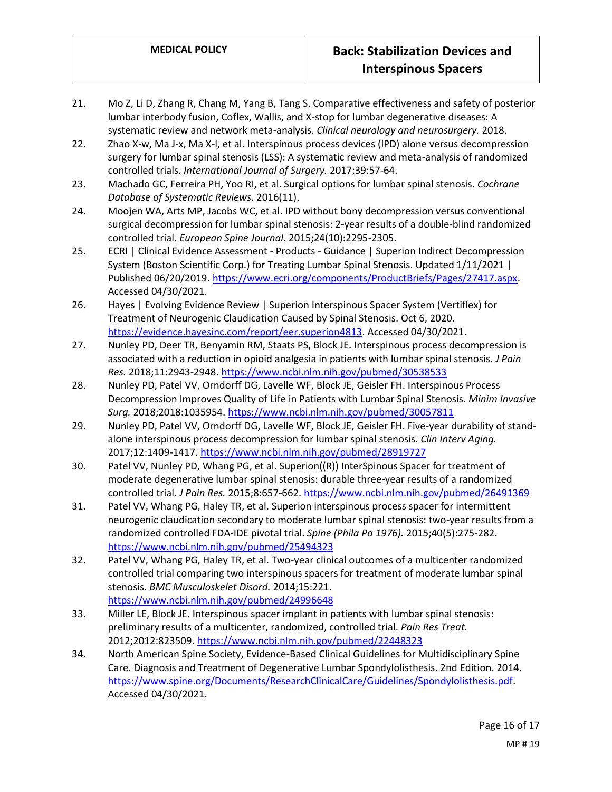- 21. Mo Z, Li D, Zhang R, Chang M, Yang B, Tang S. Comparative effectiveness and safety of posterior lumbar interbody fusion, Coflex, Wallis, and X-stop for lumbar degenerative diseases: A systematic review and network meta-analysis. *Clinical neurology and neurosurgery.* 2018.
- 22. Zhao X-w, Ma J-x, Ma X-l, et al. Interspinous process devices (IPD) alone versus decompression surgery for lumbar spinal stenosis (LSS): A systematic review and meta-analysis of randomized controlled trials. *International Journal of Surgery.* 2017;39:57-64.
- 23. Machado GC, Ferreira PH, Yoo RI, et al. Surgical options for lumbar spinal stenosis. *Cochrane Database of Systematic Reviews.* 2016(11).
- 24. Moojen WA, Arts MP, Jacobs WC, et al. IPD without bony decompression versus conventional surgical decompression for lumbar spinal stenosis: 2-year results of a double-blind randomized controlled trial. *European Spine Journal.* 2015;24(10):2295-2305.
- 25. ECRI | Clinical Evidence Assessment Products Guidance | Superion Indirect Decompression System (Boston Scientific Corp.) for Treating Lumbar Spinal Stenosis. Updated 1/11/2021 | Published 06/20/2019[. https://www.ecri.org/components/ProductBriefs/Pages/27417.aspx.](https://www.ecri.org/components/ProductBriefs/Pages/27417.aspx) Accessed 04/30/2021.
- 26. Hayes | Evolving Evidence Review | Superion Interspinous Spacer System (Vertiflex) for Treatment of Neurogenic Claudication Caused by Spinal Stenosis. Oct 6, 2020. [https://evidence.hayesinc.com/report/eer.superion4813.](https://evidence.hayesinc.com/report/eer.superion4813) Accessed 04/30/2021.
- 27. Nunley PD, Deer TR, Benyamin RM, Staats PS, Block JE. Interspinous process decompression is associated with a reduction in opioid analgesia in patients with lumbar spinal stenosis. *J Pain Res.* 2018;11:2943-2948[. https://www.ncbi.nlm.nih.gov/pubmed/30538533](https://www.ncbi.nlm.nih.gov/pubmed/30538533)
- 28. Nunley PD, Patel VV, Orndorff DG, Lavelle WF, Block JE, Geisler FH. Interspinous Process Decompression Improves Quality of Life in Patients with Lumbar Spinal Stenosis. *Minim Invasive Surg.* 2018;2018:1035954.<https://www.ncbi.nlm.nih.gov/pubmed/30057811>
- 29. Nunley PD, Patel VV, Orndorff DG, Lavelle WF, Block JE, Geisler FH. Five-year durability of standalone interspinous process decompression for lumbar spinal stenosis. *Clin Interv Aging.*  2017;12:1409-1417[. https://www.ncbi.nlm.nih.gov/pubmed/28919727](https://www.ncbi.nlm.nih.gov/pubmed/28919727)
- 30. Patel VV, Nunley PD, Whang PG, et al. Superion((R)) InterSpinous Spacer for treatment of moderate degenerative lumbar spinal stenosis: durable three-year results of a randomized controlled trial. *J Pain Res.* 2015;8:657-662.<https://www.ncbi.nlm.nih.gov/pubmed/26491369>
- 31. Patel VV, Whang PG, Haley TR, et al. Superion interspinous process spacer for intermittent neurogenic claudication secondary to moderate lumbar spinal stenosis: two-year results from a randomized controlled FDA-IDE pivotal trial. *Spine (Phila Pa 1976).* 2015;40(5):275-282. <https://www.ncbi.nlm.nih.gov/pubmed/25494323>
- 32. Patel VV, Whang PG, Haley TR, et al. Two-year clinical outcomes of a multicenter randomized controlled trial comparing two interspinous spacers for treatment of moderate lumbar spinal stenosis. *BMC Musculoskelet Disord.* 2014;15:221. <https://www.ncbi.nlm.nih.gov/pubmed/24996648>
- 33. Miller LE, Block JE. Interspinous spacer implant in patients with lumbar spinal stenosis: preliminary results of a multicenter, randomized, controlled trial. *Pain Res Treat.*  2012;2012:823509.<https://www.ncbi.nlm.nih.gov/pubmed/22448323>
- 34. North American Spine Society, Evidence-Based Clinical Guidelines for Multidisciplinary Spine Care. Diagnosis and Treatment of Degenerative Lumbar Spondylolisthesis. 2nd Edition. 2014. [https://www.spine.org/Documents/ResearchClinicalCare/Guidelines/Spondylolisthesis.pdf.](https://www.spine.org/Documents/ResearchClinicalCare/Guidelines/Spondylolisthesis.pdf) Accessed 04/30/2021.